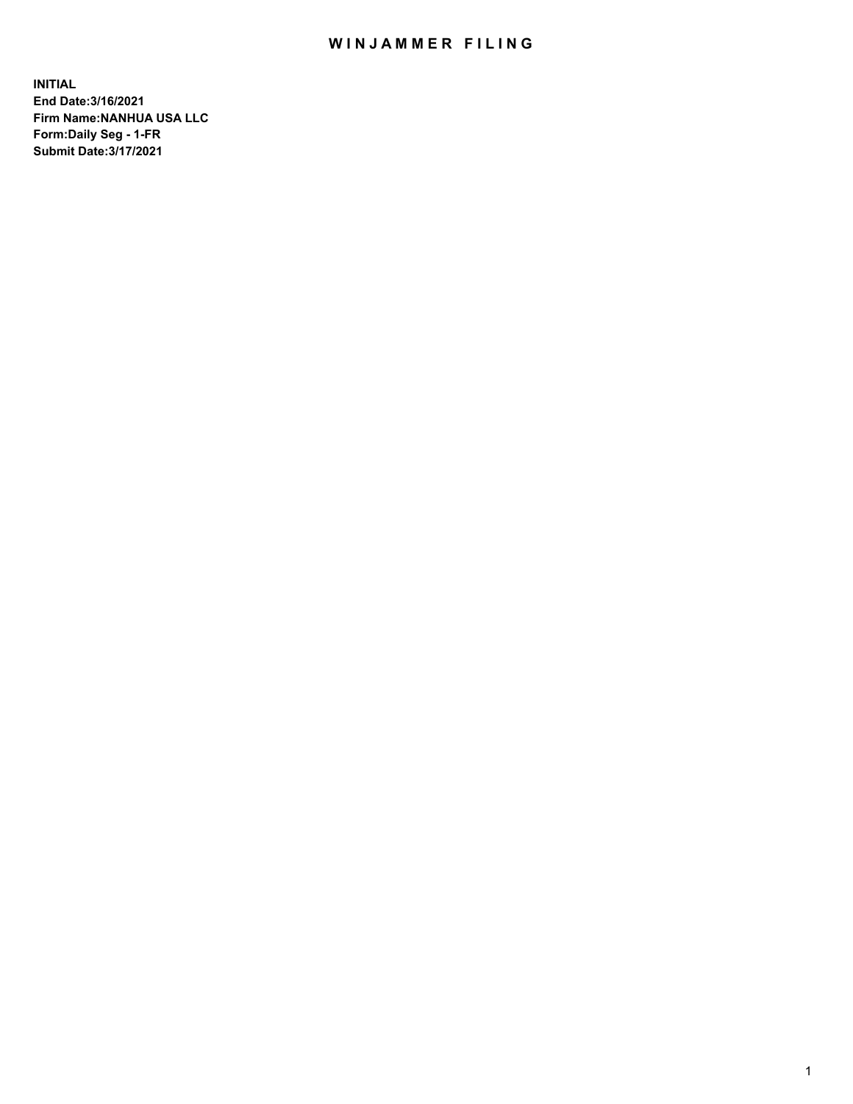## WIN JAMMER FILING

**INITIAL End Date:3/16/2021 Firm Name:NANHUA USA LLC Form:Daily Seg - 1-FR Submit Date:3/17/2021**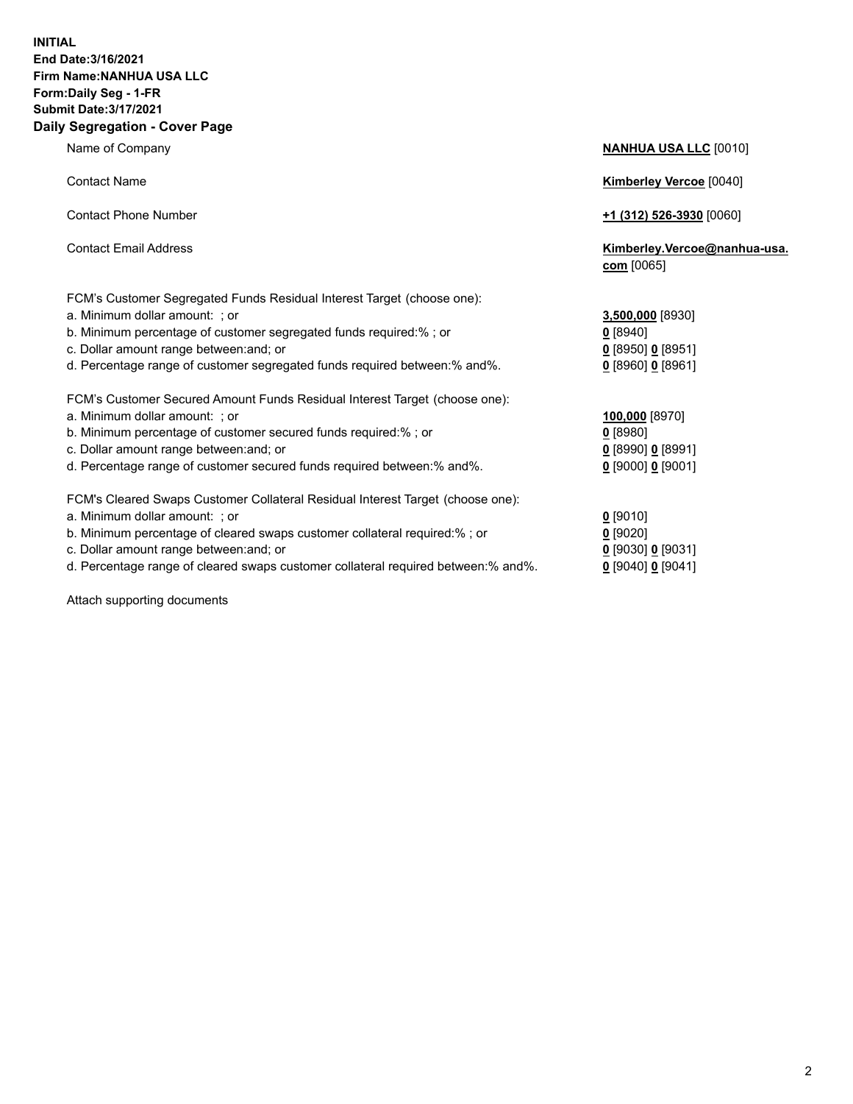## **INITIAL End Date:3/16/2021 Firm Name:NANHUA USA LLC Form:Daily Seg - 1-FR Submit Date:3/17/2021 Daily Segregation - Cover Page**

Name of Company **NANHUA USA LLC** [0010] Contact Name **Kimberley Vercoe** [0040] Contact Phone Number **+1 (312) 526-3930** [0060] Contact Email Address **Kimberley.Vercoe@nanhua-usa. com** [0065] FCM's Customer Segregated Funds Residual Interest Target (choose one): a. Minimum dollar amount: ; or **3,500,000** [8930] b. Minimum percentage of customer segregated funds required:% ; or **0** [8940] c. Dollar amount range between:and; or **0** [8950] **0** [8951] d. Percentage range of customer segregated funds required between:% and%. **0** [8960] **0** [8961] FCM's Customer Secured Amount Funds Residual Interest Target (choose one): a. Minimum dollar amount: ; or **100,000** [8970] b. Minimum percentage of customer secured funds required:% ; or **0** [8980] c. Dollar amount range between:and; or **0** [8990] **0** [8991] d. Percentage range of customer secured funds required between:% and%. **0** [9000] **0** [9001] FCM's Cleared Swaps Customer Collateral Residual Interest Target (choose one): a. Minimum dollar amount: ; or **0** [9010] b. Minimum percentage of cleared swaps customer collateral required:% ; or **0** [9020] c. Dollar amount range between:and; or **0** [9030] **0** [9031]

d. Percentage range of cleared swaps customer collateral required between:% and%. **0** [9040] **0** [9041]

Attach supporting documents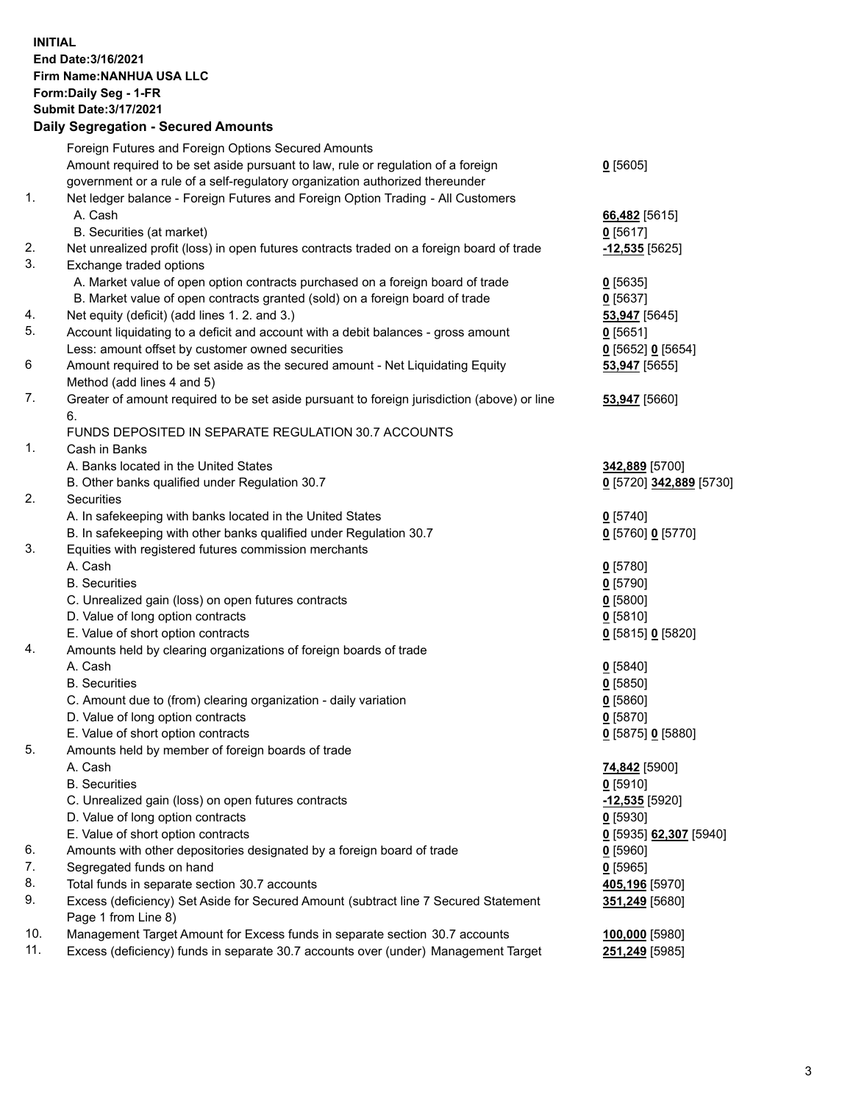**INITIAL End Date:3/16/2021 Firm Name:NANHUA USA LLC Form:Daily Seg - 1-FR Submit Date:3/17/2021**

## **Daily Segregation - Secured Amounts**

|     | Foreign Futures and Foreign Options Secured Amounts                                         |                                      |
|-----|---------------------------------------------------------------------------------------------|--------------------------------------|
|     | Amount required to be set aside pursuant to law, rule or regulation of a foreign            | $0$ [5605]                           |
| 1.  | government or a rule of a self-regulatory organization authorized thereunder                |                                      |
|     | Net ledger balance - Foreign Futures and Foreign Option Trading - All Customers             |                                      |
|     | A. Cash                                                                                     | 66,482 [5615]                        |
|     | B. Securities (at market)                                                                   | $0$ [5617]                           |
| 2.  | Net unrealized profit (loss) in open futures contracts traded on a foreign board of trade   | -12,535 [5625]                       |
| 3.  | Exchange traded options                                                                     |                                      |
|     | A. Market value of open option contracts purchased on a foreign board of trade              | $0$ [5635]                           |
|     | B. Market value of open contracts granted (sold) on a foreign board of trade                | $0$ [5637]                           |
| 4.  | Net equity (deficit) (add lines 1. 2. and 3.)                                               |                                      |
| 5.  | Account liquidating to a deficit and account with a debit balances - gross amount           | 53,947 [5645]                        |
|     |                                                                                             | $0$ [5651]                           |
| 6   | Less: amount offset by customer owned securities                                            | $Q$ [5652] $Q$ [5654]                |
|     | Amount required to be set aside as the secured amount - Net Liquidating Equity              | 53,947 [5655]                        |
|     | Method (add lines 4 and 5)                                                                  |                                      |
| 7.  | Greater of amount required to be set aside pursuant to foreign jurisdiction (above) or line | 53,947 [5660]                        |
|     | 6.                                                                                          |                                      |
|     | FUNDS DEPOSITED IN SEPARATE REGULATION 30.7 ACCOUNTS                                        |                                      |
| 1.  | Cash in Banks                                                                               |                                      |
|     | A. Banks located in the United States                                                       | 342,889 [5700]                       |
|     | B. Other banks qualified under Regulation 30.7                                              | <u>0</u> [5720] 342,889 [5730]       |
| 2.  | Securities                                                                                  |                                      |
|     | A. In safekeeping with banks located in the United States                                   | $0$ [5740]                           |
|     | B. In safekeeping with other banks qualified under Regulation 30.7                          | 0 [5760] 0 [5770]                    |
| 3.  | Equities with registered futures commission merchants                                       |                                      |
|     | A. Cash                                                                                     | $0$ [5780]                           |
|     | <b>B.</b> Securities                                                                        | $0$ [5790]                           |
|     | C. Unrealized gain (loss) on open futures contracts                                         | $0$ [5800]                           |
|     | D. Value of long option contracts                                                           | $0$ [5810]                           |
|     | E. Value of short option contracts                                                          | 0 [5815] 0 [5820]                    |
| 4.  | Amounts held by clearing organizations of foreign boards of trade                           |                                      |
|     | A. Cash                                                                                     | $0$ [5840]                           |
|     | <b>B.</b> Securities                                                                        | $0$ [5850]                           |
|     | C. Amount due to (from) clearing organization - daily variation                             | $0$ [5860]                           |
|     | D. Value of long option contracts                                                           | $0$ [5870]                           |
|     | E. Value of short option contracts                                                          | 0 [5875] 0 [5880]                    |
| 5.  | Amounts held by member of foreign boards of trade                                           |                                      |
|     | A. Cash                                                                                     | 74,842 [5900]                        |
|     | <b>B.</b> Securities                                                                        | $0$ [5910]                           |
|     | C. Unrealized gain (loss) on open futures contracts                                         | -12,535 [5920]                       |
|     | D. Value of long option contracts                                                           | $0$ [5930]                           |
|     | E. Value of short option contracts                                                          | <u>0</u> [5935] <u>62,307</u> [5940] |
| 6.  | Amounts with other depositories designated by a foreign board of trade                      | $0$ [5960]                           |
| 7.  | Segregated funds on hand                                                                    | $0$ [5965]                           |
| 8.  | Total funds in separate section 30.7 accounts                                               | 405,196 [5970]                       |
| 9.  | Excess (deficiency) Set Aside for Secured Amount (subtract line 7 Secured Statement         |                                      |
|     | Page 1 from Line 8)                                                                         | 351,249 [5680]                       |
| 10. | Management Target Amount for Excess funds in separate section 30.7 accounts                 |                                      |
| 11. |                                                                                             | 100,000 [5980]                       |
|     | Excess (deficiency) funds in separate 30.7 accounts over (under) Management Target          | <u>251,249</u> [5985]                |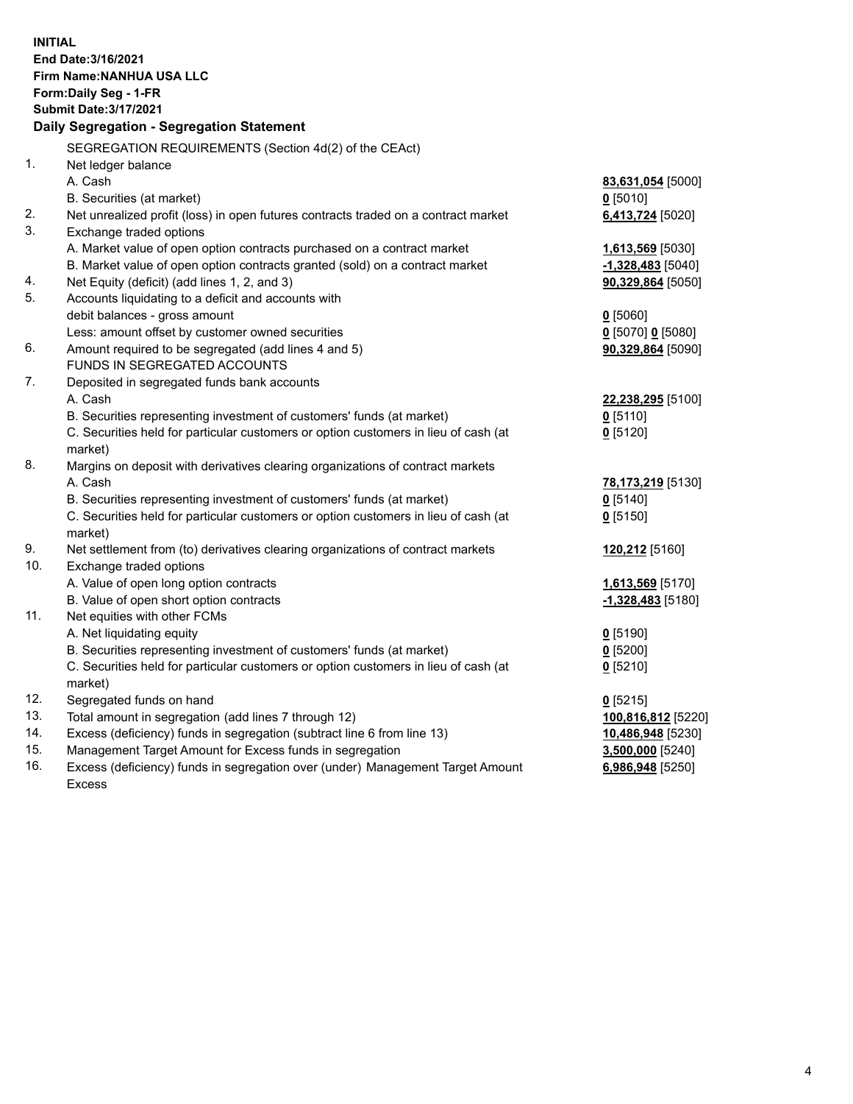**INITIAL End Date:3/16/2021 Firm Name:NANHUA USA LLC Form:Daily Seg - 1-FR Submit Date:3/17/2021 Daily Segregation - Segregation Statement** SEGREGATION REQUIREMENTS (Section 4d(2) of the CEAct) 1. Net ledger balance A. Cash **83,631,054** [5000] B. Securities (at market) **0** [5010] 2. Net unrealized profit (loss) in open futures contracts traded on a contract market **6,413,724** [5020] 3. Exchange traded options A. Market value of open option contracts purchased on a contract market **1,613,569** [5030] B. Market value of open option contracts granted (sold) on a contract market **-1,328,483** [5040] 4. Net Equity (deficit) (add lines 1, 2, and 3) **90,329,864** [5050] 5. Accounts liquidating to a deficit and accounts with debit balances - gross amount **0** [5060] Less: amount offset by customer owned securities **0** [5070] **0** [5080] 6. Amount required to be segregated (add lines 4 and 5) **90,329,864** [5090] FUNDS IN SEGREGATED ACCOUNTS 7. Deposited in segregated funds bank accounts A. Cash **22,238,295** [5100] B. Securities representing investment of customers' funds (at market) **0** [5110] C. Securities held for particular customers or option customers in lieu of cash (at market) **0** [5120] 8. Margins on deposit with derivatives clearing organizations of contract markets A. Cash **78,173,219** [5130] B. Securities representing investment of customers' funds (at market) **0** [5140] C. Securities held for particular customers or option customers in lieu of cash (at market) **0** [5150] 9. Net settlement from (to) derivatives clearing organizations of contract markets **120,212** [5160] 10. Exchange traded options A. Value of open long option contracts **1,613,569** [5170] B. Value of open short option contracts **-1,328,483** [5180] 11. Net equities with other FCMs A. Net liquidating equity **0** [5190] B. Securities representing investment of customers' funds (at market) **0** [5200] C. Securities held for particular customers or option customers in lieu of cash (at market) **0** [5210] 12. Segregated funds on hand **0** [5215] 13. Total amount in segregation (add lines 7 through 12) **100,816,812** [5220] 14. Excess (deficiency) funds in segregation (subtract line 6 from line 13) **10,486,948** [5230] 15. Management Target Amount for Excess funds in segregation **3,500,000** [5240] 16. Excess (deficiency) funds in segregation over (under) Management Target Amount **6,986,948** [5250]

Excess